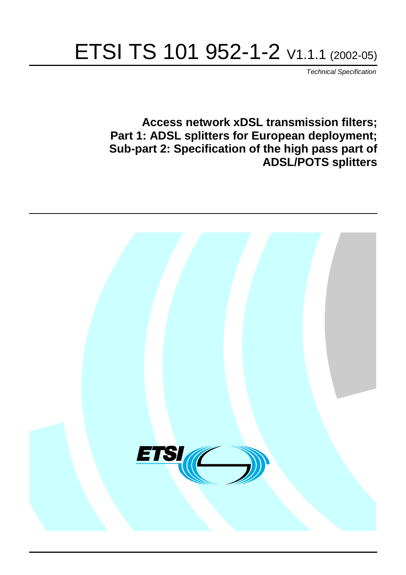# ETSI TS 101 952-1-2 V1.1.1 (2002-05)

Technical Specification

**Access network xDSL transmission filters; Part 1: ADSL splitters for European deployment; Sub-part 2: Specification of the high pass part of ADSL/POTS splitters**

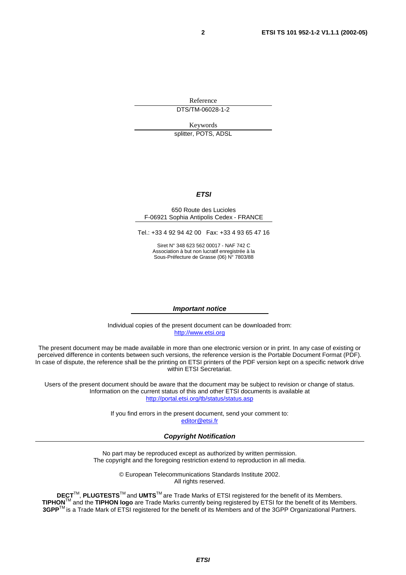Reference DTS/TM-06028-1-2

Keywords

splitter, POTS, ADSL

#### **ETSI**

#### 650 Route des Lucioles F-06921 Sophia Antipolis Cedex - FRANCE

Tel.: +33 4 92 94 42 00 Fax: +33 4 93 65 47 16

Siret N° 348 623 562 00017 - NAF 742 C Association à but non lucratif enregistrée à la Sous-Préfecture de Grasse (06) N° 7803/88

#### **Important notice**

Individual copies of the present document can be downloaded from: [http://www.etsi.org](http://www.etsi.org/)

The present document may be made available in more than one electronic version or in print. In any case of existing or perceived difference in contents between such versions, the reference version is the Portable Document Format (PDF). In case of dispute, the reference shall be the printing on ETSI printers of the PDF version kept on a specific network drive within ETSI Secretariat.

Users of the present document should be aware that the document may be subject to revision or change of status. Information on the current status of this and other ETSI documents is available at <http://portal.etsi.org/tb/status/status.asp>

> If you find errors in the present document, send your comment to: [editor@etsi.fr](mailto:editor@etsi.fr)

#### **Copyright Notification**

No part may be reproduced except as authorized by written permission. The copyright and the foregoing restriction extend to reproduction in all media.

> © European Telecommunications Standards Institute 2002. All rights reserved.

**DECT**TM, **PLUGTESTS**TM and **UMTS**TM are Trade Marks of ETSI registered for the benefit of its Members. **TIPHON**TM and the **TIPHON logo** are Trade Marks currently being registered by ETSI for the benefit of its Members. **3GPP**TM is a Trade Mark of ETSI registered for the benefit of its Members and of the 3GPP Organizational Partners.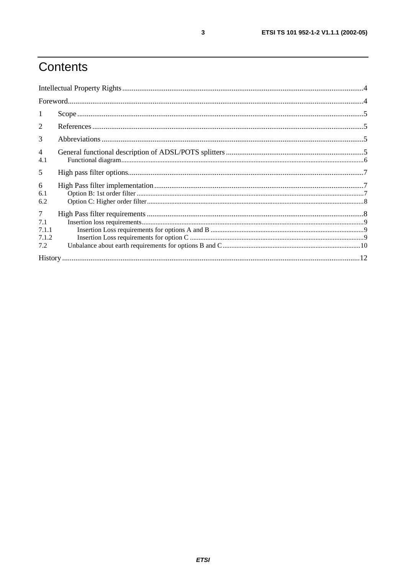# Contents

| $\mathbf{1}$                                   |  |
|------------------------------------------------|--|
| 2                                              |  |
| 3                                              |  |
| $\overline{4}$<br>4.1                          |  |
| 5                                              |  |
| 6<br>6.1<br>6.2                                |  |
| $\overline{7}$<br>7.1<br>7.1.1<br>7.1.2<br>7.2 |  |
|                                                |  |

 $\mathbf{3}$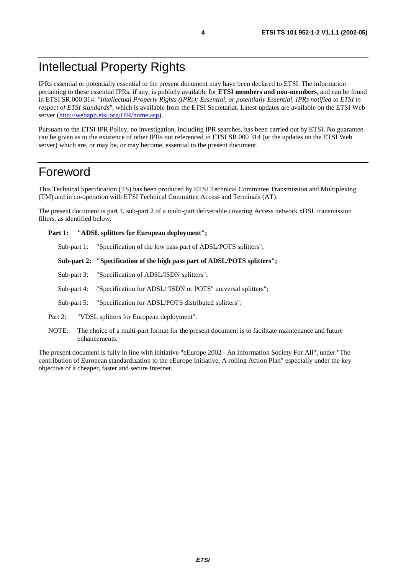### Intellectual Property Rights

IPRs essential or potentially essential to the present document may have been declared to ETSI. The information pertaining to these essential IPRs, if any, is publicly available for **ETSI members and non-members**, and can be found in ETSI SR 000 314: *"Intellectual Property Rights (IPRs); Essential, or potentially Essential, IPRs notified to ETSI in respect of ETSI standards"*, which is available from the ETSI Secretariat. Latest updates are available on the ETSI Web server ([http://webapp.etsi.org/IPR/home.asp\)](http://webapp.etsi.org/IPR/home.asp).

Pursuant to the ETSI IPR Policy, no investigation, including IPR searches, has been carried out by ETSI. No guarantee can be given as to the existence of other IPRs not referenced in ETSI SR 000 314 (or the updates on the ETSI Web server) which are, or may be, or may become, essential to the present document.

### Foreword

This Technical Specification (TS) has been produced by ETSI Technical Committee Transmission and Multiplexing (TM) and in co-operation with ETSI Technical Committee Access and Terminals (AT).

The present document is part 1, sub-part 2 of a multi-part deliverable covering Access network xDSL transmission filters, as identified below:

**Part 1: "ADSL splitters for European deployment";**

Sub-part 1: "Specification of the low pass part of ADSL/POTS splitters";

#### **Sub-part 2: "Specification of the high pass part of ADSL/POTS splitters";**

- Sub-part 3: "Specification of ADSL/ISDN splitters";
- Sub-part 4: "Specification for ADSL/"ISDN or POTS" universal splitters";
- Sub-part 5: "Specification for ADSL/POTS distributed splitters";
- Part 2: "VDSL splitters for European deployment".
- NOTE: The choice of a multi-part format for the present document is to facilitate maintenance and future enhancements.

The present document is fully in line with initiative "eEurope 2002 - An Information Society For All", under "The contribution of European standardization to the eEurope Initiative, A rolling Action Plan" especially under the key objective of a cheaper, faster and secure Internet.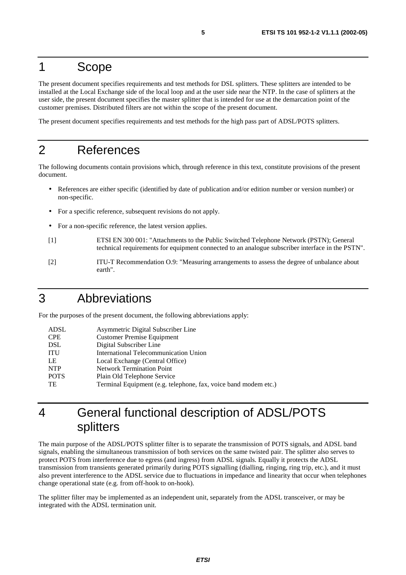### 1 Scope

The present document specifies requirements and test methods for DSL splitters. These splitters are intended to be installed at the Local Exchange side of the local loop and at the user side near the NTP. In the case of splitters at the user side, the present document specifies the master splitter that is intended for use at the demarcation point of the customer premises. Distributed filters are not within the scope of the present document.

The present document specifies requirements and test methods for the high pass part of ADSL/POTS splitters.

### 2 References

The following documents contain provisions which, through reference in this text, constitute provisions of the present document.

- References are either specific (identified by date of publication and/or edition number or version number) or non-specific.
- For a specific reference, subsequent revisions do not apply.
- For a non-specific reference, the latest version applies.
- [1] ETSI EN 300 001: "Attachments to the Public Switched Telephone Network (PSTN); General technical requirements for equipment connected to an analogue subscriber interface in the PSTN".
- [2] ITU-T Recommendation O.9: "Measuring arrangements to assess the degree of unbalance about earth".

### 3 Abbreviations

For the purposes of the present document, the following abbreviations apply:

| ADSL        | Asymmetric Digital Subscriber Line                              |
|-------------|-----------------------------------------------------------------|
| <b>CPE</b>  | <b>Customer Premise Equipment</b>                               |
| <b>DSL</b>  | Digital Subscriber Line                                         |
| <b>ITU</b>  | International Telecommunication Union                           |
| LE          | Local Exchange (Central Office)                                 |
| <b>NTP</b>  | <b>Network Termination Point</b>                                |
| <b>POTS</b> | Plain Old Telephone Service                                     |
| <b>TE</b>   | Terminal Equipment (e.g. telephone, fax, voice band modem etc.) |

## 4 General functional description of ADSL/POTS splitters

The main purpose of the ADSL/POTS splitter filter is to separate the transmission of POTS signals, and ADSL band signals, enabling the simultaneous transmission of both services on the same twisted pair. The splitter also serves to protect POTS from interference due to egress (and ingress) from ADSL signals. Equally it protects the ADSL transmission from transients generated primarily during POTS signalling (dialling, ringing, ring trip, etc.), and it must also prevent interference to the ADSL service due to fluctuations in impedance and linearity that occur when telephones change operational state (e.g. from off-hook to on-hook).

The splitter filter may be implemented as an independent unit, separately from the ADSL transceiver, or may be integrated with the ADSL termination unit.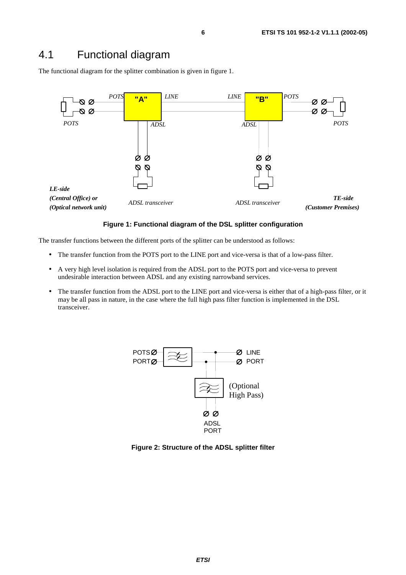### 4.1 Functional diagram

The functional diagram for the splitter combination is given in figure 1.



#### **Figure 1: Functional diagram of the DSL splitter configuration**

The transfer functions between the different ports of the splitter can be understood as follows:

- The transfer function from the POTS port to the LINE port and vice-versa is that of a low-pass filter.
- A very high level isolation is required from the ADSL port to the POTS port and vice-versa to prevent undesirable interaction between ADSL and any existing narrowband services.
- The transfer function from the ADSL port to the LINE port and vice-versa is either that of a high-pass filter, or it may be all pass in nature, in the case where the full high pass filter function is implemented in the DSL transceiver.



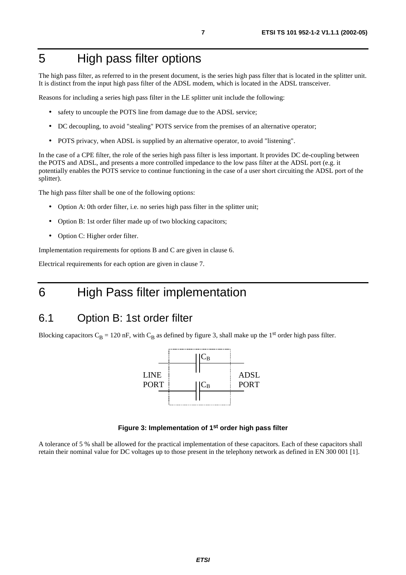### 5 High pass filter options

The high pass filter, as referred to in the present document, is the series high pass filter that is located in the splitter unit. It is distinct from the input high pass filter of the ADSL modem, which is located in the ADSL transceiver.

Reasons for including a series high pass filter in the LE splitter unit include the following:

- safety to uncouple the POTS line from damage due to the ADSL service;
- DC decoupling, to avoid "stealing" POTS service from the premises of an alternative operator;
- POTS privacy, when ADSL is supplied by an alternative operator, to avoid "listening".

In the case of a CPE filter, the role of the series high pass filter is less important. It provides DC de-coupling between the POTS and ADSL, and presents a more controlled impedance to the low pass filter at the ADSL port (e.g. it potentially enables the POTS service to continue functioning in the case of a user short circuiting the ADSL port of the splitter).

The high pass filter shall be one of the following options:

- Option A: 0th order filter, i.e. no series high pass filter in the splitter unit;
- Option B: 1st order filter made up of two blocking capacitors;
- Option C: Higher order filter.

Implementation requirements for options B and C are given in clause 6.

Electrical requirements for each option are given in clause 7.

### 6 High Pass filter implementation

#### 6.1 Option B: 1st order filter

Blocking capacitors  $C_B = 120$  nF, with  $C_B$  as defined by figure 3, shall make up the 1<sup>st</sup> order high pass filter.



#### **Figure 3: Implementation of 1st order high pass filter**

A tolerance of 5 % shall be allowed for the practical implementation of these capacitors. Each of these capacitors shall retain their nominal value for DC voltages up to those present in the telephony network as defined in EN 300 001 [1].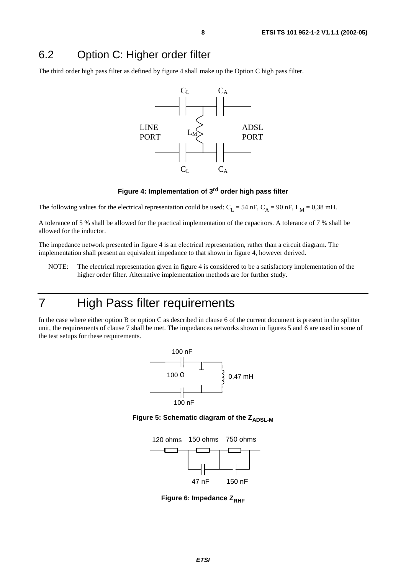The third order high pass filter as defined by figure 4 shall make up the Option C high pass filter.



#### **Figure 4: Implementation of 3rd order high pass filter**

The following values for the electrical representation could be used:  $C_L = 54$  nF,  $C_A = 90$  nF,  $L_M = 0.38$  mH.

A tolerance of 5 % shall be allowed for the practical implementation of the capacitors. A tolerance of 7 % shall be allowed for the inductor.

The impedance network presented in figure 4 is an electrical representation, rather than a circuit diagram. The implementation shall present an equivalent impedance to that shown in figure 4, however derived.

NOTE: The electrical representation given in figure 4 is considered to be a satisfactory implementation of the higher order filter. Alternative implementation methods are for further study.

### 7 High Pass filter requirements

In the case where either option B or option C as described in clause 6 of the current document is present in the splitter unit, the requirements of clause 7 shall be met. The impedances networks shown in figures 5 and 6 are used in some of the test setups for these requirements.



**Figure 5: Schematic diagram of the ZADSL-M** 



**Figure 6: Impedance Z<sub>RHF</sub>**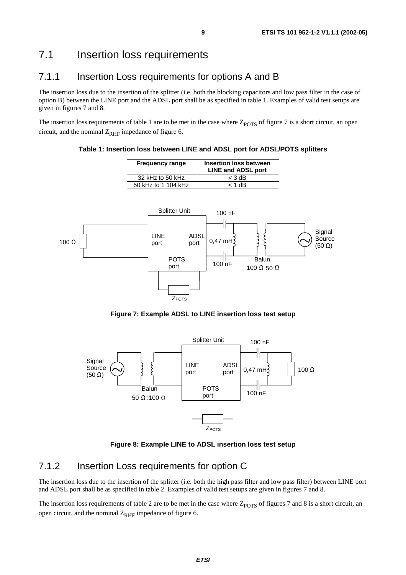### 7.1 Insertion loss requirements

#### 7.1.1 Insertion Loss requirements for options A and B

The insertion loss due to the insertion of the splitter (i.e. both the blocking capacitors and low pass filter in the case of option B) between the LINE port and the ADSL port shall be as specified in table 1. Examples of valid test setups are given in figures 7 and 8.

The insertion loss requirements of table 1 are to be met in the case where  $Z_{POTS}$  of figure 7 is a short circuit, an open circuit, and the nominal  $Z_{RHF}$  impedance of figure 6.

**Table 1: Insertion loss between LINE and ADSL port for ADSL/POTS splitters**

| <b>Frequency range</b> | <b>Insertion loss between</b><br><b>LINE and ADSL port</b> |
|------------------------|------------------------------------------------------------|
| 32 kHz to 50 kHz       | $<$ 3 dB                                                   |
| 50 kHz to 1 104 kHz    | $<$ 1 dB                                                   |



**Figure 7: Example ADSL to LINE insertion loss test setup**



**Figure 8: Example LINE to ADSL insertion loss test setup**

#### 7.1.2 Insertion Loss requirements for option C

The insertion loss due to the insertion of the splitter (i.e. both the high pass filter and low pass filter) between LINE port and ADSL port shall be as specified in table 2. Examples of valid test setups are given in figures 7 and 8.

The insertion loss requirements of table 2 are to be met in the case where  $Z_{POTS}$  of figures 7 and 8 is a short circuit, an open circuit, and the nominal  $Z_{RHF}$  impedance of figure 6.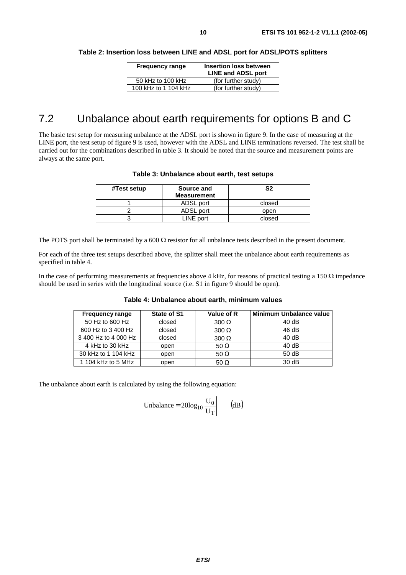| <b>Frequency range</b> | <b>Insertion loss between</b><br><b>LINE and ADSL port</b> |  |
|------------------------|------------------------------------------------------------|--|
| 50 kHz to 100 kHz      | (for further study)                                        |  |
| 100 kHz to 1 104 kHz   | (for further study)                                        |  |

#### **Table 2: Insertion loss between LINE and ADSL port for ADSL/POTS splitters**

### 7.2 Unbalance about earth requirements for options B and C

The basic test setup for measuring unbalance at the ADSL port is shown in figure 9. In the case of measuring at the LINE port, the test setup of figure 9 is used, however with the ADSL and LINE terminations reversed. The test shall be carried out for the combinations described in table 3. It should be noted that the source and measurement points are always at the same port.

| Table 3: Unbalance about earth, test setups |  |  |  |  |  |
|---------------------------------------------|--|--|--|--|--|
|---------------------------------------------|--|--|--|--|--|

| #Test setup | Source and<br><b>Measurement</b> | S2     |
|-------------|----------------------------------|--------|
|             | ADSL port                        | closed |
|             | ADSL port                        | open   |
|             | LINE port                        | closed |
|             |                                  |        |

The POTS port shall be terminated by a 600  $\Omega$  resistor for all unbalance tests described in the present document.

For each of the three test setups described above, the splitter shall meet the unbalance about earth requirements as specified in table 4.

In the case of performing measurements at frequencies above 4 kHz, for reasons of practical testing a 150  $\Omega$  impedance should be used in series with the longitudinal source (i.e. S1 in figure 9 should be open).

| <b>Frequency range</b> | State of S1 | Value of R   | <b>Minimum Unbalance value</b> |
|------------------------|-------------|--------------|--------------------------------|
| 50 Hz to 600 Hz        | closed      | $300 \Omega$ | 40dB                           |
| 600 Hz to 3 400 Hz     | closed      | $300 \Omega$ | 46dB                           |
| 3 400 Hz to 4 000 Hz   | closed      | $300 \Omega$ | 40dB                           |
| 4 kHz to 30 kHz        | open        | 50 $\Omega$  | 40dB                           |
| 30 kHz to 1 104 kHz    | open        | 50 $\Omega$  | 50dB                           |
| 1 104 kHz to 5 MHz     | open        | 50 $\Omega$  | 30dB                           |

#### **Table 4: Unbalance about earth, minimum values**

The unbalance about earth is calculated by using the following equation:

Unbalance = 
$$
20\log_{10} \left| \frac{U_0}{U_T} \right|
$$
 (dB)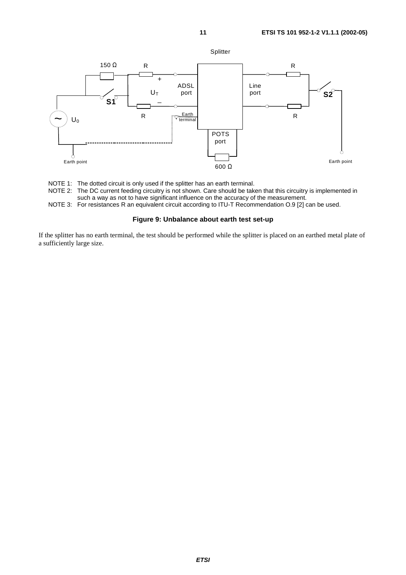

NOTE 1: The dotted circuit is only used if the splitter has an earth terminal.

NOTE 2: The DC current feeding circuitry is not shown. Care should be taken that this circuitry is implemented in such a way as not to have significant influence on the accuracy of the measurement.

NOTE 3: For resistances R an equivalent circuit according to ITU-T Recommendation O.9 [2] can be used.

#### **Figure 9: Unbalance about earth test set-up**

If the splitter has no earth terminal, the test should be performed while the splitter is placed on an earthed metal plate of a sufficiently large size.